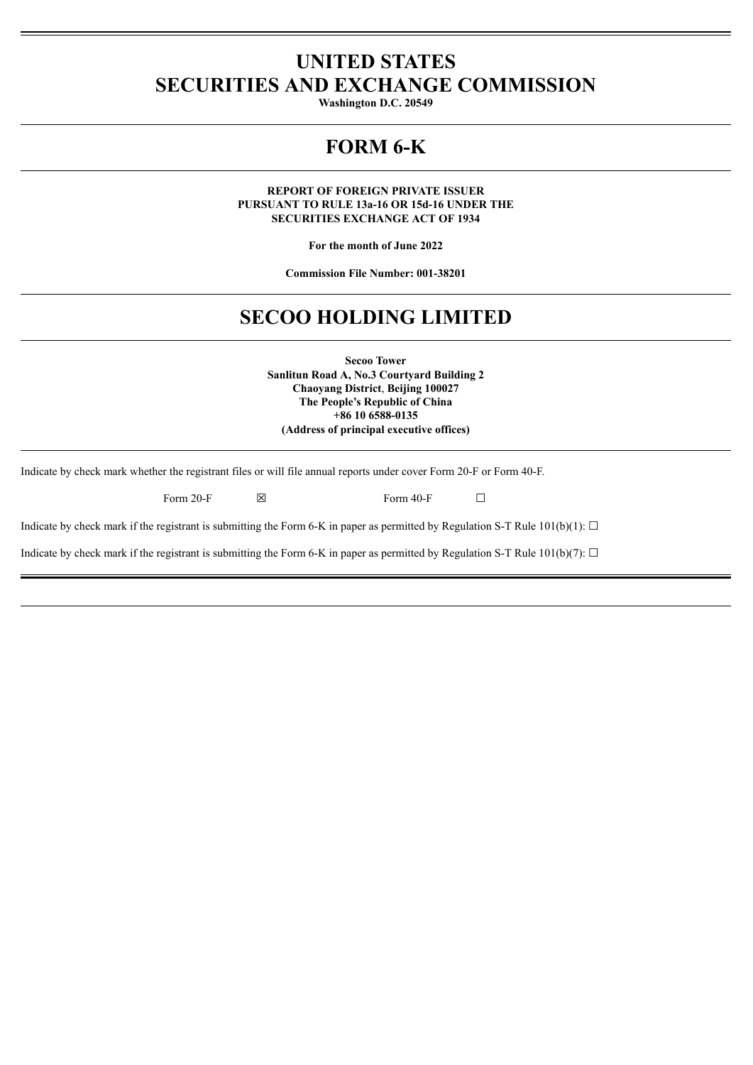## **UNITED STATES SECURITIES AND EXCHANGE COMMISSION**

**Washington D.C. 20549**

## **FORM 6-K**

**REPORT OF FOREIGN PRIVATE ISSUER PURSUANT TO RULE 13a-16 OR 15d-16 UNDER THE SECURITIES EXCHANGE ACT OF 1934**

**For the month of June 2022**

**Commission File Number: 001-38201**

# **SECOO HOLDING LIMITED**

**Secoo Tower Sanlitun Road A, No.3 Courtyard Building 2 Chaoyang District**, **Beijing 100027 The People's Republic of China +86 10 6588-0135 (Address of principal executive offices)**

Indicate by check mark whether the registrant files or will file annual reports under cover Form 20-F or Form 40-F.

| Form 20-F<br>⊠ |
|----------------|
|----------------|

Form 40-F  $\Box$ 

Indicate by check mark if the registrant is submitting the Form 6-K in paper as permitted by Regulation S-T Rule  $101(b)(1)$ :  $\Box$ 

Indicate by check mark if the registrant is submitting the Form 6-K in paper as permitted by Regulation S-T Rule 101(b)(7):  $\Box$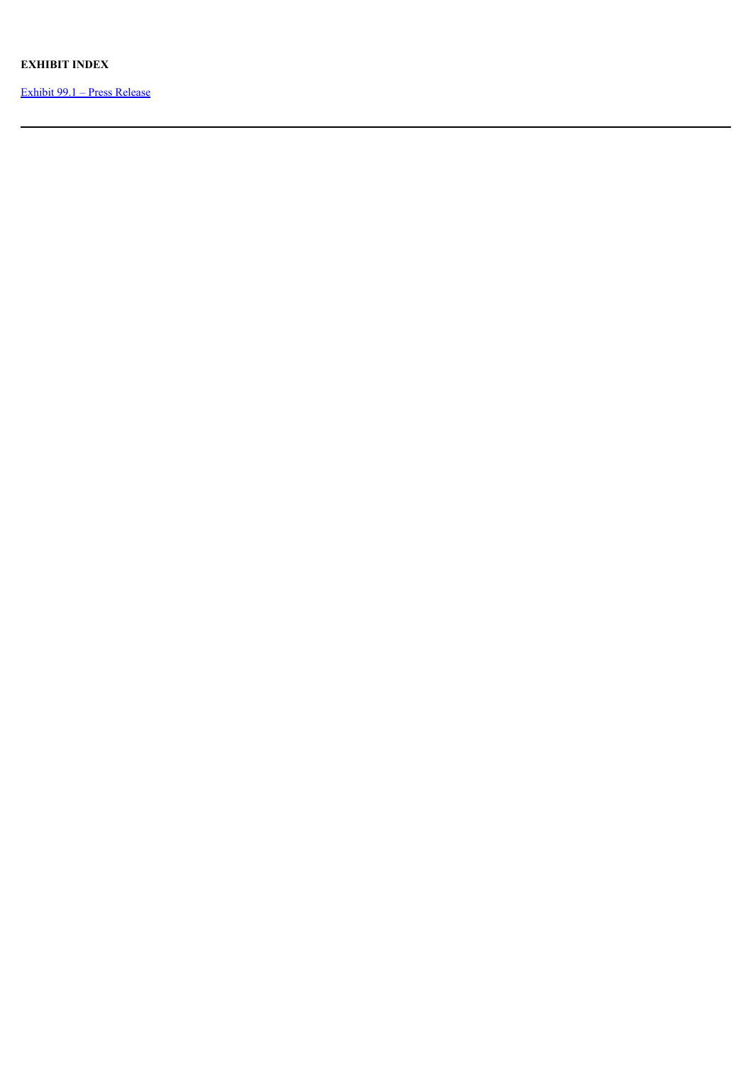## **EXHIBIT INDEX**

Exhibit 99.1 – Press [Release](#page-3-0)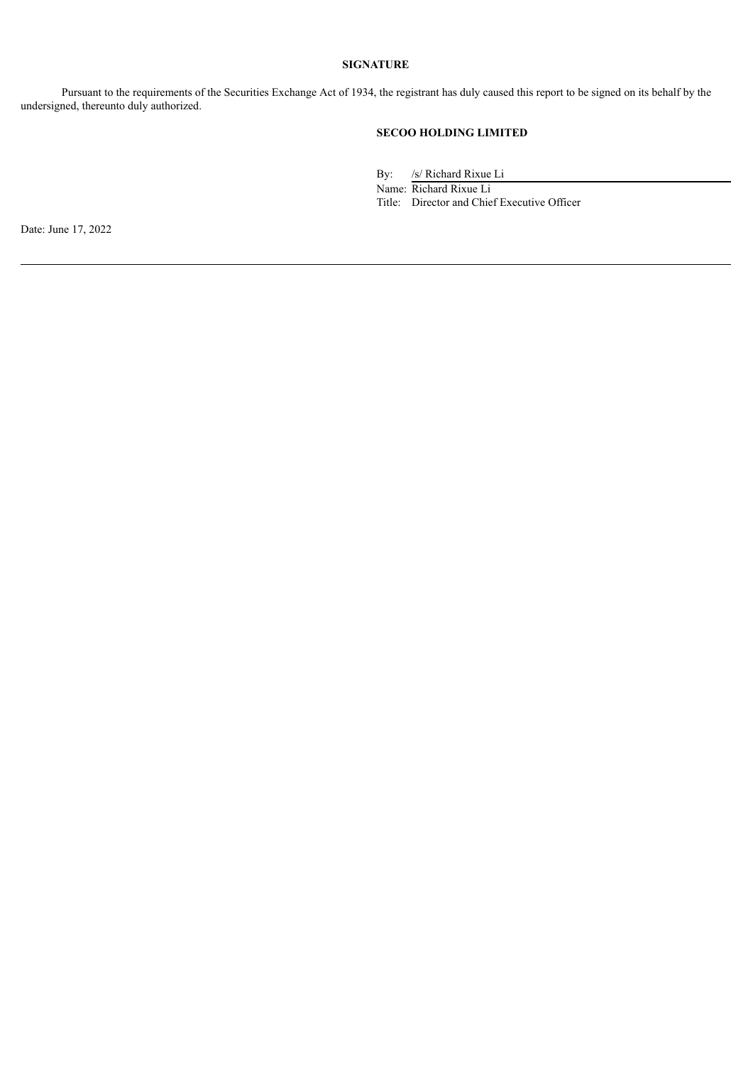## **SIGNATURE**

Pursuant to the requirements of the Securities Exchange Act of 1934, the registrant has duly caused this report to be signed on its behalf by the undersigned, thereunto duly authorized.

## **SECOO HOLDING LIMITED**

By: /s/ Richard Rixue Li

Name: Richard Rixue Li Title: Director and Chief Executive Officer

Date: June 17, 2022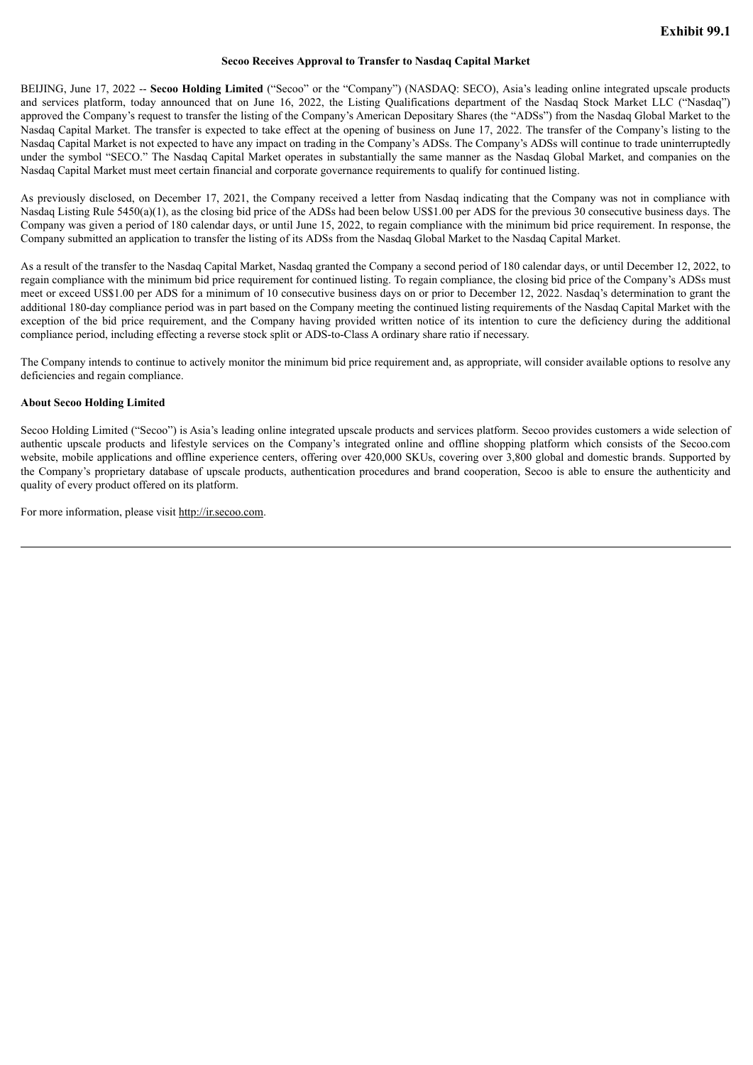#### **Secoo Receives Approval to Transfer to Nasdaq Capital Market**

<span id="page-3-0"></span>BEIJING, June 17, 2022 -- **Secoo Holding Limited** ("Secoo" or the "Company") (NASDAQ: SECO), Asia's leading online integrated upscale products and services platform, today announced that on June 16, 2022, the Listing Qualifications department of the Nasdaq Stock Market LLC ("Nasdaq") approved the Company's request to transfer the listing of the Company's American Depositary Shares (the "ADSs") from the Nasdaq Global Market to the Nasdaq Capital Market. The transfer is expected to take effect at the opening of business on June 17, 2022. The transfer of the Company's listing to the Nasdaq Capital Market is not expected to have any impact on trading in the Company's ADSs. The Company's ADSs will continue to trade uninterruptedly under the symbol "SECO." The Nasdaq Capital Market operates in substantially the same manner as the Nasdaq Global Market, and companies on the Nasdaq Capital Market must meet certain financial and corporate governance requirements to qualify for continued listing.

As previously disclosed, on December 17, 2021, the Company received a letter from Nasdaq indicating that the Company was not in compliance with Nasdaq Listing Rule 5450(a)(1), as the closing bid price of the ADSs had been below US\$1.00 per ADS for the previous 30 consecutive business days. The Company was given a period of 180 calendar days, or until June 15, 2022, to regain compliance with the minimum bid price requirement. In response, the Company submitted an application to transfer the listing of its ADSs from the Nasdaq Global Market to the Nasdaq Capital Market.

As a result of the transfer to the Nasdaq Capital Market, Nasdaq granted the Company a second period of 180 calendar days, or until December 12, 2022, to regain compliance with the minimum bid price requirement for continued listing. To regain compliance, the closing bid price of the Company's ADSs must meet or exceed US\$1.00 per ADS for a minimum of 10 consecutive business days on or prior to December 12, 2022. Nasdaq's determination to grant the additional 180-day compliance period was in part based on the Company meeting the continued listing requirements of the Nasdaq Capital Market with the exception of the bid price requirement, and the Company having provided written notice of its intention to cure the deficiency during the additional compliance period, including effecting a reverse stock split or ADS-to-Class A ordinary share ratio if necessary.

The Company intends to continue to actively monitor the minimum bid price requirement and, as appropriate, will consider available options to resolve any deficiencies and regain compliance.

### **About Secoo Holding Limited**

Secoo Holding Limited ("Secoo") is Asia's leading online integrated upscale products and services platform. Secoo provides customers a wide selection of authentic upscale products and lifestyle services on the Company's integrated online and offline shopping platform which consists of the Secoo.com website, mobile applications and offline experience centers, offering over 420,000 SKUs, covering over 3,800 global and domestic brands. Supported by the Company's proprietary database of upscale products, authentication procedures and brand cooperation, Secoo is able to ensure the authenticity and quality of every product offered on its platform.

For more information, please visit http://ir.secoo.com.